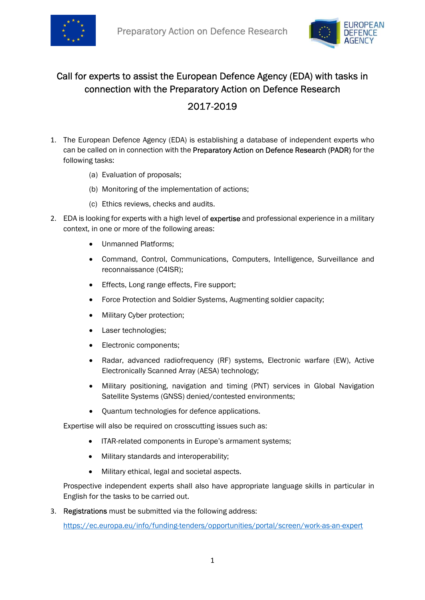



## Call for experts to assist the European Defence Agency (EDA) with tasks in connection with the Preparatory Action on Defence Research

## 2017-2019

- 1. The European Defence Agency (EDA) is establishing a database of independent experts who can be called on in connection with the Preparatory Action on Defence Research (PADR) for the following tasks:
	- (a) Evaluation of proposals;
	- (b) Monitoring of the implementation of actions;
	- (c) Ethics reviews, checks and audits.
- 2. EDA is looking for experts with a high level of expertise and professional experience in a military context, in one or more of the following areas:
	- Unmanned Platforms:
	- Command, Control, Communications, Computers, Intelligence, Surveillance and reconnaissance (C4ISR);
	- **Effects, Long range effects, Fire support;**
	- Force Protection and Soldier Systems, Augmenting soldier capacity;
	- Military Cyber protection;
	- Laser technologies;
	- Electronic components;
	- Radar, advanced radiofrequency (RF) systems, Electronic warfare (EW), Active Electronically Scanned Array (AESA) technology;
	- Military positioning, navigation and timing (PNT) services in Global Navigation Satellite Systems (GNSS) denied/contested environments;
	- Quantum technologies for defence applications.

Expertise will also be required on crosscutting issues such as:

- ITAR-related components in Europe's armament systems;
- $\bullet$  Military standards and interoperability;
- Military ethical, legal and societal aspects.

Prospective independent experts shall also have appropriate language skills in particular in English for the tasks to be carried out.

3. Registrations must be submitted via the following address:

https://ec.europa.eu/info/funding-tenders/opportunities/portal/screen/work-as-an-expert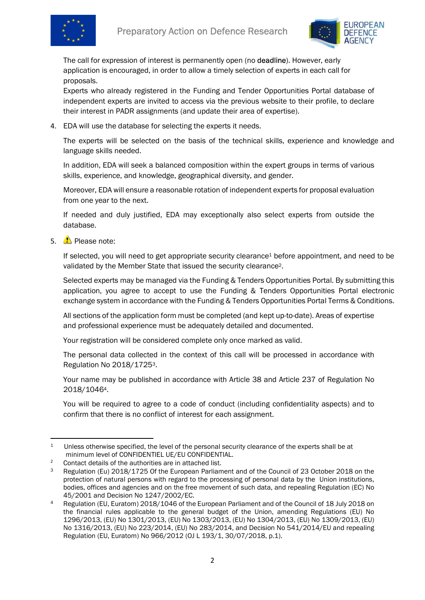



The call for expression of interest is permanently open (no deadline). However, early application is encouraged, in order to allow a timely selection of experts in each call for proposals.

Experts who already registered in the Funding and Tender Opportunities Portal database of independent experts are invited to access via the previous website to their profile, to declare their interest in PADR assignments (and update their area of expertise).

4. EDA will use the database for selecting the experts it needs.

The experts will be selected on the basis of the technical skills, experience and knowledge and language skills needed.

In addition, EDA will seek a balanced composition within the expert groups in terms of various skills, experience, and knowledge, geographical diversity, and gender.

Moreover, EDA will ensure a reasonable rotation of independent experts for proposal evaluation from one year to the next.

If needed and duly justified, EDA may exceptionally also select experts from outside the database.

5. Please note:

If selected, you will need to get appropriate security clearance<sup>1</sup> before appointment, and need to be validated by the Member State that issued the security clearance2.

Selected experts may be managed via the Funding & Tenders Opportunities Portal. By submitting this application, you agree to accept to use the Funding & Tenders Opportunities Portal electronic exchange system in accordance with the Funding & Tenders Opportunities Portal Terms & Conditions.

All sections of the application form must be completed (and kept up-to-date). Areas of expertise and professional experience must be adequately detailed and documented.

Your registration will be considered complete only once marked as valid.

The personal data collected in the context of this call will be processed in accordance with Regulation No 2018/17253.

Your name may be published in accordance with Article 38 and Article 237 of Regulation No 2018/10464.

You will be required to agree to a code of conduct (including confidentiality aspects) and to confirm that there is no conflict of interest for each assignment.

<sup>&</sup>lt;sup>1</sup> Unless otherwise specified, the level of the personal security clearance of the experts shall be at minimum level of CONFIDENTIEL UE/EU CONFIDENTIAL.

<sup>2</sup> Contact details of the authorities are in attached list.

<sup>&</sup>lt;sup>3</sup> Regulation (Eu) 2018/1725 Of the European Parliament and of the Council of 23 October 2018 on the protection of natural persons with regard to the processing of personal data by the Union institutions, bodies, offices and agencies and on the free movement of such data, and repealing Regulation (EC) No 45/2001 and Decision No 1247/2002/EC.

<sup>4</sup> Regulation (EU, Euratom) 2018/1046 of the European Parliament and of the Council of 18 July 2018 on the financial rules applicable to the general budget of the Union, amending Regulations (EU) No 1296/2013, (EU) No 1301/2013, (EU) No 1303/2013, (EU) No 1304/2013, (EU) No 1309/2013, (EU) No 1316/2013, (EU) No 223/2014, (EU) No 283/2014, and Decision No 541/2014/EU and repealing Regulation (EU, Euratom) No 966/2012 (OJ L 193/1, 30/07/2018, p.1).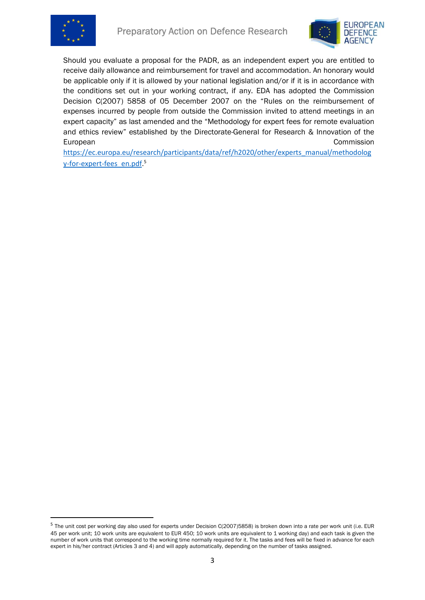



Should you evaluate a proposal for the PADR, as an independent expert you are entitled to receive daily allowance and reimbursement for travel and accommodation. An honorary would be applicable only if it is allowed by your national legislation and/or if it is in accordance with the conditions set out in your working contract, if any. EDA has adopted the Commission Decision C(2007) 5858 of 05 December 2007 on the "Rules on the reimbursement of expenses incurred by people from outside the Commission invited to attend meetings in an expert capacity" as last amended and the "Methodology for expert fees for remote evaluation and ethics review" established by the Directorate-General for Research & Innovation of the European Commission

https://ec.europa.eu/research/participants/data/ref/h2020/other/experts\_manual/methodolog y-for-expert-fees\_en.pdf.<sup>5</sup>

<sup>&</sup>lt;sup>5</sup> The unit cost per working day also used for experts under Decision C(2007)5858) is broken down into a rate per work unit (i.e. EUR 45 per work unit; 10 work units are equivalent to EUR 450; 10 work units are equivalent to 1 working day) and each task is given the number of work units that correspond to the working time normally required for it. The tasks and fees will be fixed in advance for each expert in his/her contract (Articles 3 and 4) and will apply automatically, depending on the number of tasks assigned.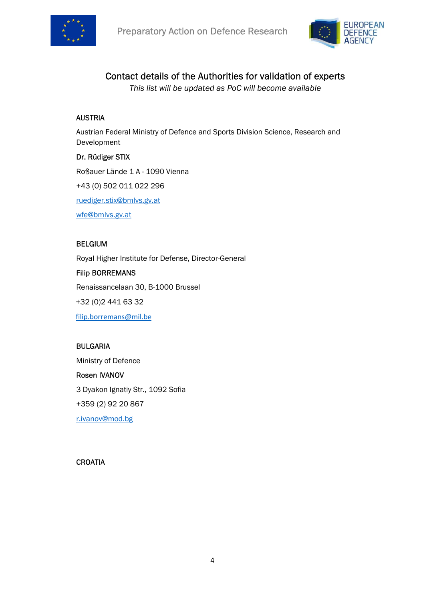



## Contact details of the Authorities for validation of experts

This list will be updated as PoC will become available

### AUSTRIA

Austrian Federal Ministry of Defence and Sports Division Science, Research and Development

### Dr. Rüdiger STIX

Roßauer Lände 1 A - 1090 Vienna +43 (0) 502 011 022 296 ruediger.stix@bmlvs.gv.at wfe@bmlvs.gv.at

### BELGIUM

Royal Higher Institute for Defense, Director-General Filip BORREMANS Renaissancelaan 30, B-1000 Brussel +32 (0)2 441 63 32

filip.borremans@mil.be

## BULGARIA

Ministry of Defence Rosen IVANOV 3 Dyakon Ignatiy Str., 1092 Sofia +359 (2) 92 20 867 r.ivanov@mod.bg

#### **CROATIA**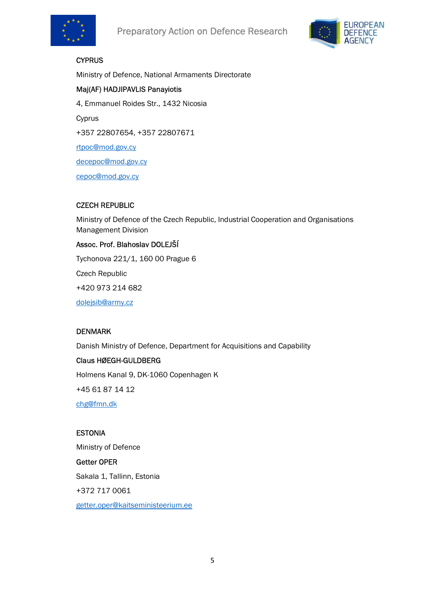



## **CYPRUS**

Ministry of Defence, National Armaments Directorate

## Maj(AF) HADJIPAVLIS Panayiotis

4, Emmanuel Roides Str., 1432 Nicosia

Cyprus

+357 22807654, +357 22807671

rtpoc@mod.gov.cy

decepoc@mod.gov.cy

cepoc@mod.gov.cy

### CZECH REPUBLIC

Ministry of Defence of the Czech Republic, Industrial Cooperation and Organisations Management Division

### Assoc. Prof. Blahoslav DOLEJŠÍ

Tychonova 221/1, 160 00 Prague 6

Czech Republic

+420 973 214 682

dolejsib@army.cz

#### DENMARK

Danish Ministry of Defence, Department for Acquisitions and Capability

#### Claus HØEGH-GULDBERG

Holmens Kanal 9, DK-1060 Copenhagen K

+45 61 87 14 12

chg@fmn.dk

#### ESTONIA

Ministry of Defence

## Getter OPER

Sakala 1, Tallinn, Estonia

+372 717 0061

getter.oper@kaitseministeerium.ee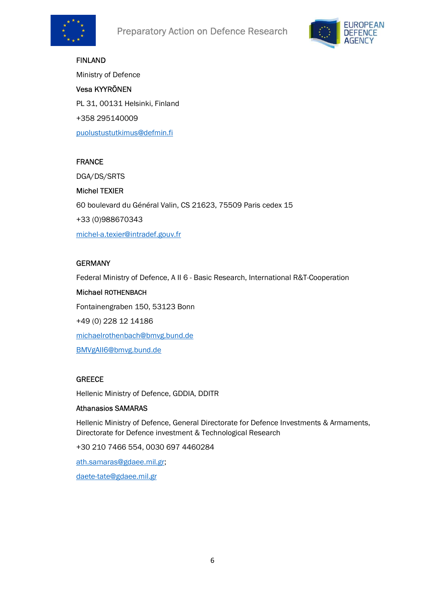



# FINLAND Ministry of Defence Vesa KYYRÖNEN PL 31, 00131 Helsinki, Finland +358 295140009 puolustustutkimus@defmin.fi

## FRANCE

DGA/DS/SRTS

Michel TEXIER 60 boulevard du Général Valin, CS 21623, 75509 Paris cedex 15 +33 (0)988670343 michel-a.texier@intradef.gouv.fr

### **GERMANY**

Federal Ministry of Defence, A II 6 - Basic Research, International R&T-Cooperation

Michael ROTHENBACH Fontainengraben 150, 53123 Bonn +49 (0) 228 12 14186 michaelrothenbach@bmvg.bund.de BMVgAII6@bmvg.bund.de

## **GREECE**

Hellenic Ministry of Defence, GDDIA, DDITR

#### Athanasios SAMARAS

Hellenic Ministry of Defence, General Directorate for Defence Investments & Armaments, Directorate for Defence investment & Technological Research

+30 210 7466 554, 0030 697 4460284

ath.samaras@gdaee.mil.gr;

daete-tate@gdaee.mil.gr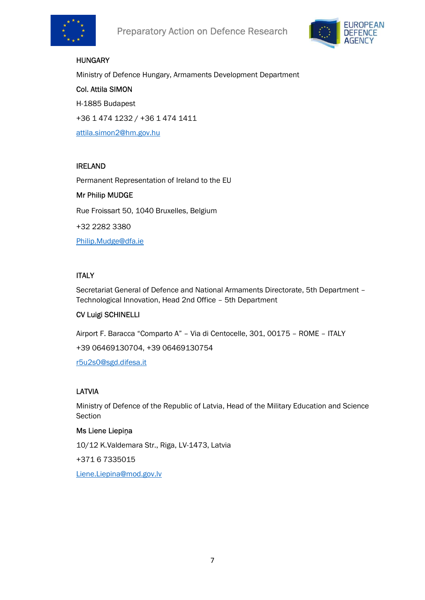



### **HUNGARY**

Ministry of Defence Hungary, Armaments Development Department

Col. Attila SIMON H-1885 Budapest +36 1 474 1232 / +36 1 474 1411 attila.simon2@hm.gov.hu

#### IRELAND

Permanent Representation of Ireland to the EU Mr Philip MUDGE Rue Froissart 50, 1040 Bruxelles, Belgium +32 2282 3380 Philip.Mudge@dfa.ie

## **ITALY**

Secretariat General of Defence and National Armaments Directorate, 5th Department – Technological Innovation, Head 2nd Office – 5th Department

#### CV Luigi SCHINELLI

Airport F. Baracca "Comparto A" – Via di Centocelle, 301, 00175 – ROME – ITALY +39 06469130704, +39 06469130754

r5u2s0@sgd.difesa.it

## LATVIA

Ministry of Defence of the Republic of Latvia, Head of the Military Education and Science Section

#### Ms Liene Liepiņa

10/12 K.Valdemara Str., Riga, LV-1473, Latvia

+371 6 7335015

Liene.Liepina@mod.gov.lv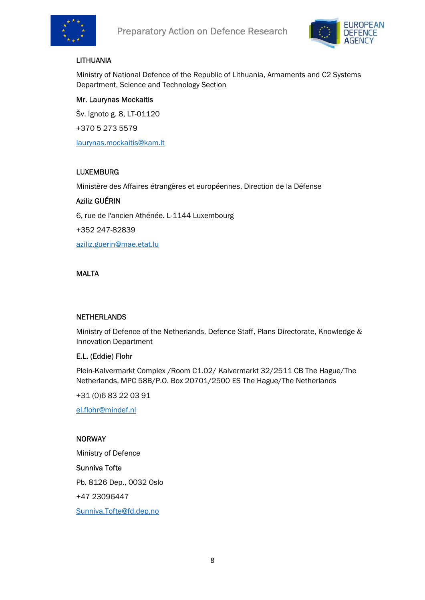



## LITHUANIA

Ministry of National Defence of the Republic of Lithuania, Armaments and C2 Systems Department, Science and Technology Section

## Mr. Laurynas Mockaitis

Šv. Ignoto g. 8, LT-01120 +370 5 273 5579 laurynas.mockaitis@kam.lt

## LUXEMBURG

Ministère des Affaires étrangères et européennes, Direction de la Défense

#### Aziliz GUÉRIN

6, rue de l'ancien Athénée. L-1144 Luxembourg

+352 247-82839

aziliz.guerin@mae.etat.lu

### MALTA

#### **NETHERLANDS**

Ministry of Defence of the Netherlands, Defence Staff, Plans Directorate, Knowledge & Innovation Department

#### E.L. (Eddie) Flohr

Plein-Kalvermarkt Complex /Room C1.02/ Kalvermarkt 32/2511 CB The Hague/The Netherlands, MPC 58B/P.O. Box 20701/2500 ES The Hague/The Netherlands

+31 (0)6 83 22 03 91

el.flohr@mindef.nl

#### **NORWAY**

Ministry of Defence

#### Sunniva Tofte

Pb. 8126 Dep., 0032 Oslo

+47 23096447

Sunniva.Tofte@fd.dep.no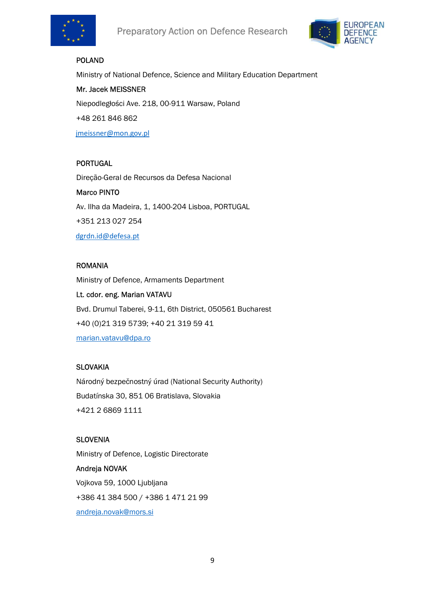



## POLAND

Ministry of National Defence, Science and Military Education Department

Mr. Jacek MEISSNER Niepodległości Ave. 218, 00-911 Warsaw, Poland +48 261 846 862 jmeissner@mon.gov.pl

## PORTUGAL

Direção-Geral de Recursos da Defesa Nacional

Marco PINTO Av. Ilha da Madeira, 1, 1400-204 Lisboa, PORTUGAL +351 213 027 254 dgrdn.id@defesa.pt

#### ROMANIA

Ministry of Defence, Armaments Department Lt. cdor. eng. Marian VATAVU Bvd. Drumul Taberei, 9-11, 6th District, 050561 Bucharest +40 (0)21 319 5739; +40 21 319 59 41 marian.vatavu@dpa.ro

#### **SLOVAKIA**

Národný bezpečnostný úrad (National Security Authority) Budatínska 30, 851 06 Bratislava, Slovakia +421 2 6869 1111

#### **SLOVENIA**

Ministry of Defence, Logistic Directorate Andreja NOVAK Vojkova 59, 1000 Ljubljana +386 41 384 500 / +386 1 471 21 99 andreja.novak@mors.si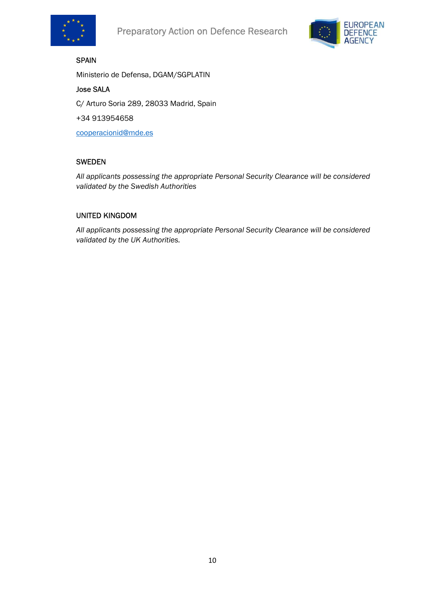



## SPAIN

Ministerio de Defensa, DGAM/SGPLATIN

## Jose SALA

C/ Arturo Soria 289, 28033 Madrid, Spain

+34 913954658

cooperacionid@mde.es

### SWEDEN

All applicants possessing the appropriate Personal Security Clearance will be considered validated by the Swedish Authorities

#### UNITED KINGDOM

All applicants possessing the appropriate Personal Security Clearance will be considered validated by the UK Authorities.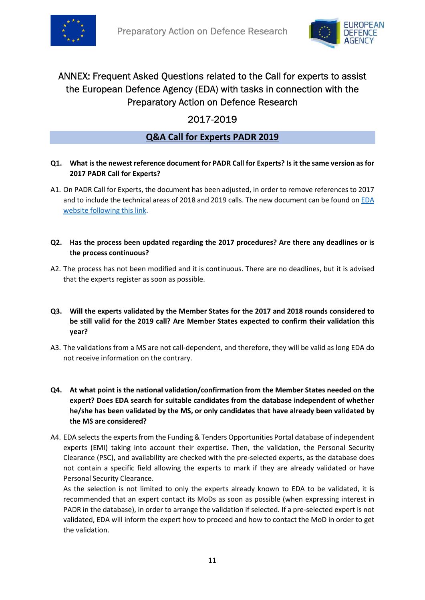



## ANNEX: Frequent Asked Questions related to the Call for experts to assist the European Defence Agency (EDA) with tasks in connection with the Preparatory Action on Defence Research

## 2017-2019

## Q&A Call for Experts PADR 2019

### Q1. What is the newest reference document for PADR Call for Experts? Is it the same version as for 2017 PADR Call for Experts?

A1. On PADR Call for Experts, the document has been adjusted, in order to remove references to 2017 and to include the technical areas of 2018 and 2019 calls. The new document can be found on EDA website following this link.

### Q2. Has the process been updated regarding the 2017 procedures? Are there any deadlines or is the process continuous?

A2. The process has not been modified and it is continuous. There are no deadlines, but it is advised that the experts register as soon as possible.

#### Q3. Will the experts validated by the Member States for the 2017 and 2018 rounds considered to be still valid for the 2019 call? Are Member States expected to confirm their validation this year?

- A3. The validations from a MS are not call-dependent, and therefore, they will be valid as long EDA do not receive information on the contrary.
- Q4. At what point is the national validation/confirmation from the Member States needed on the expert? Does EDA search for suitable candidates from the database independent of whether he/she has been validated by the MS, or only candidates that have already been validated by the MS are considered?
- A4. EDA selects the experts from the Funding & Tenders Opportunities Portal database of independent experts (EMI) taking into account their expertise. Then, the validation, the Personal Security Clearance (PSC), and availability are checked with the pre-selected experts, as the database does not contain a specific field allowing the experts to mark if they are already validated or have Personal Security Clearance.

As the selection is not limited to only the experts already known to EDA to be validated, it is recommended that an expert contact its MoDs as soon as possible (when expressing interest in PADR in the database), in order to arrange the validation if selected. If a pre-selected expert is not validated, EDA will inform the expert how to proceed and how to contact the MoD in order to get the validation.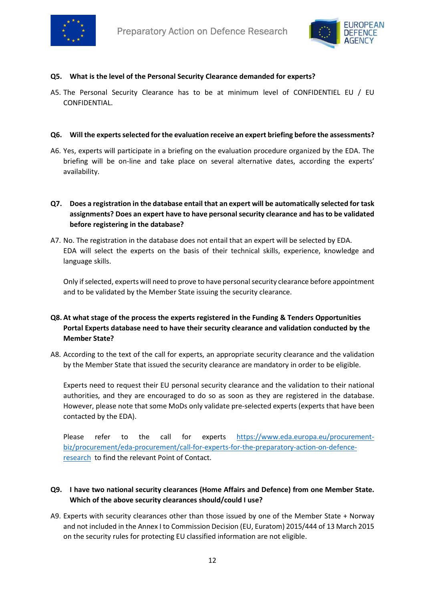



#### Q5. What is the level of the Personal Security Clearance demanded for experts?

A5. The Personal Security Clearance has to be at minimum level of CONFIDENTIEL EU / EU CONFIDENTIAL.

#### Q6. Will the experts selected for the evaluation receive an expert briefing before the assessments?

A6. Yes, experts will participate in a briefing on the evaluation procedure organized by the EDA. The briefing will be on-line and take place on several alternative dates, according the experts' availability.

## Q7. Does a registration in the database entail that an expert will be automatically selected for task assignments? Does an expert have to have personal security clearance and has to be validated before registering in the database?

A7. No. The registration in the database does not entail that an expert will be selected by EDA. EDA will select the experts on the basis of their technical skills, experience, knowledge and language skills.

Only if selected, experts will need to prove to have personal security clearance before appointment and to be validated by the Member State issuing the security clearance.

## Q8. At what stage of the process the experts registered in the Funding & Tenders Opportunities Portal Experts database need to have their security clearance and validation conducted by the Member State?

A8. According to the text of the call for experts, an appropriate security clearance and the validation by the Member State that issued the security clearance are mandatory in order to be eligible.

Experts need to request their EU personal security clearance and the validation to their national authorities, and they are encouraged to do so as soon as they are registered in the database. However, please note that some MoDs only validate pre-selected experts (experts that have been contacted by the EDA).

Please refer to the call for experts https://www.eda.europa.eu/procurementbiz/procurement/eda-procurement/call-for-experts-for-the-preparatory-action-on-defenceresearch to find the relevant Point of Contact.

### Q9. I have two national security clearances (Home Affairs and Defence) from one Member State. Which of the above security clearances should/could I use?

A9. Experts with security clearances other than those issued by one of the Member State + Norway and not included in the Annex I to Commission Decision (EU, Euratom) 2015/444 of 13 March 2015 on the security rules for protecting EU classified information are not eligible.